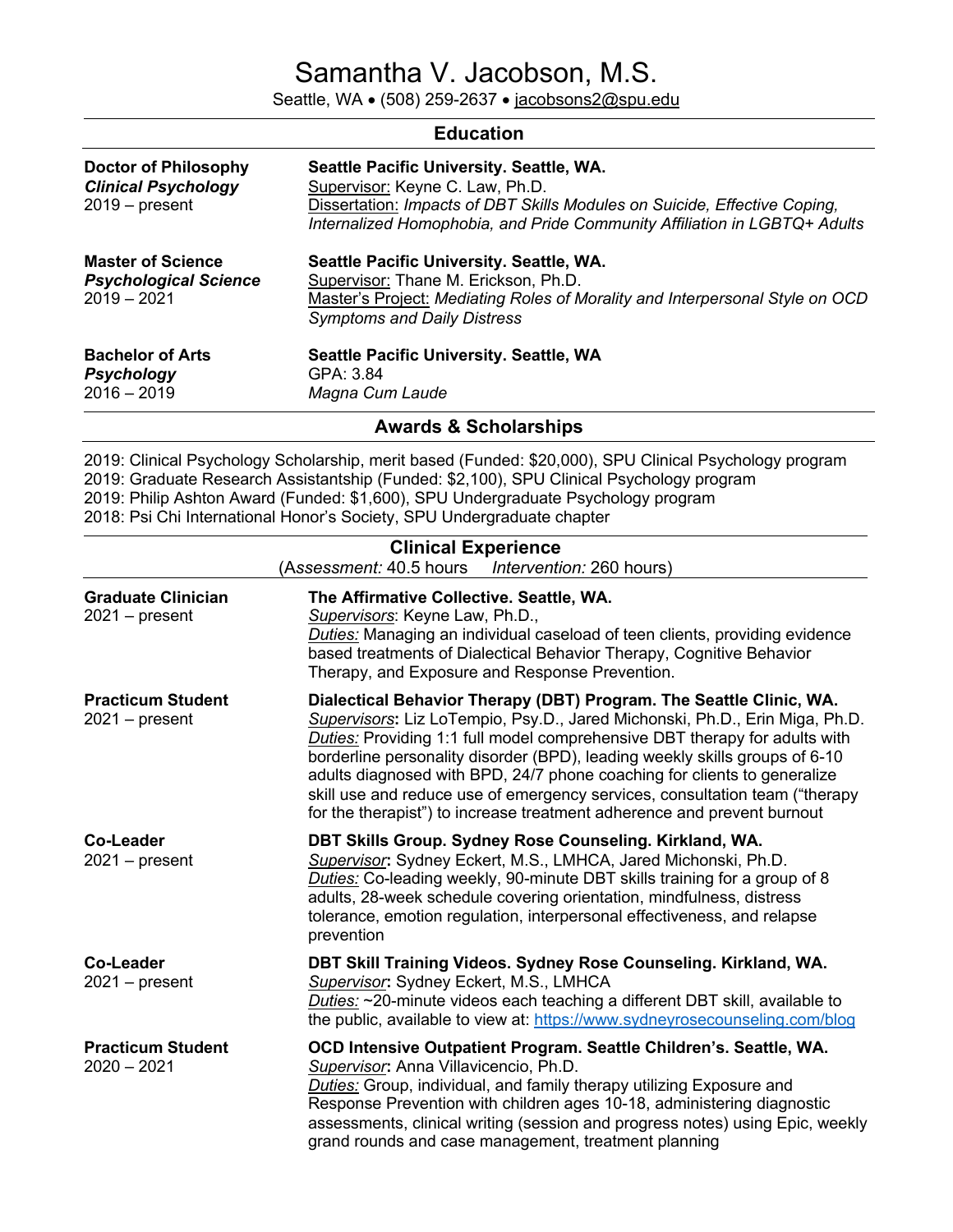# Samantha V. Jacobson, M.S.

Seattle, WA • (508) 259-2637 • jacobsons2@spu.edu

| <b>Education</b>                                                              |                                                                                                                                                                                                                                       |  |
|-------------------------------------------------------------------------------|---------------------------------------------------------------------------------------------------------------------------------------------------------------------------------------------------------------------------------------|--|
| <b>Doctor of Philosophy</b><br><b>Clinical Psychology</b><br>$2019$ – present | Seattle Pacific University. Seattle, WA.<br>Supervisor: Keyne C. Law, Ph.D.<br>Dissertation: Impacts of DBT Skills Modules on Suicide, Effective Coping,<br>Internalized Homophobia, and Pride Community Affiliation in LGBTQ+ Adults |  |
| <b>Master of Science</b><br><b>Psychological Science</b><br>$2019 - 2021$     | Seattle Pacific University. Seattle, WA.<br>Supervisor: Thane M. Erickson, Ph.D.<br>Master's Project: Mediating Roles of Morality and Interpersonal Style on OCD<br><b>Symptoms and Daily Distress</b>                                |  |
| <b>Bachelor of Arts</b><br>Psychology<br>$2016 - 2019$                        | Seattle Pacific University. Seattle, WA<br>GPA: 3.84<br>Magna Cum Laude                                                                                                                                                               |  |

**Awards & Scholarships**

2019: Clinical Psychology Scholarship, merit based (Funded: \$20,000), SPU Clinical Psychology program 2019: Graduate Research Assistantship (Funded: \$2,100), SPU Clinical Psychology program 2019: Philip Ashton Award (Funded: \$1,600), SPU Undergraduate Psychology program 2018: Psi Chi International Honor's Society, SPU Undergraduate chapter

| <b>Clinical Experience</b><br>(Assessment: 40.5 hours   Intervention: 260 hours) |                                                                                                                                                                                                                                                                                                                                                                                                                                                                                                                                                       |  |
|----------------------------------------------------------------------------------|-------------------------------------------------------------------------------------------------------------------------------------------------------------------------------------------------------------------------------------------------------------------------------------------------------------------------------------------------------------------------------------------------------------------------------------------------------------------------------------------------------------------------------------------------------|--|
| <b>Graduate Clinician</b><br>$2021 - present$                                    | The Affirmative Collective. Seattle, WA.<br>Supervisors: Keyne Law, Ph.D.,<br>Duties: Managing an individual caseload of teen clients, providing evidence<br>based treatments of Dialectical Behavior Therapy, Cognitive Behavior<br>Therapy, and Exposure and Response Prevention.                                                                                                                                                                                                                                                                   |  |
| <b>Practicum Student</b><br>$2021 - present$                                     | Dialectical Behavior Therapy (DBT) Program. The Seattle Clinic, WA.<br>Supervisors: Liz LoTempio, Psy.D., Jared Michonski, Ph.D., Erin Miga, Ph.D.<br>Duties: Providing 1:1 full model comprehensive DBT therapy for adults with<br>borderline personality disorder (BPD), leading weekly skills groups of 6-10<br>adults diagnosed with BPD, 24/7 phone coaching for clients to generalize<br>skill use and reduce use of emergency services, consultation team ("therapy<br>for the therapist") to increase treatment adherence and prevent burnout |  |
| Co-Leader<br>$2021 - present$                                                    | DBT Skills Group. Sydney Rose Counseling. Kirkland, WA.<br>Supervisor: Sydney Eckert, M.S., LMHCA, Jared Michonski, Ph.D.<br>Duties: Co-leading weekly, 90-minute DBT skills training for a group of 8<br>adults, 28-week schedule covering orientation, mindfulness, distress<br>tolerance, emotion regulation, interpersonal effectiveness, and relapse<br>prevention                                                                                                                                                                               |  |
| <b>Co-Leader</b><br>$2021 - present$                                             | DBT Skill Training Videos. Sydney Rose Counseling. Kirkland, WA.<br>Supervisor: Sydney Eckert, M.S., LMHCA<br>Duties: ~20-minute videos each teaching a different DBT skill, available to<br>the public, available to view at: https://www.sydneyrosecounseling.com/blog                                                                                                                                                                                                                                                                              |  |
| <b>Practicum Student</b><br>$2020 - 2021$                                        | OCD Intensive Outpatient Program. Seattle Children's. Seattle, WA.<br>Supervisor: Anna Villavicencio, Ph.D.<br>Duties: Group, individual, and family therapy utilizing Exposure and<br>Response Prevention with children ages 10-18, administering diagnostic<br>assessments, clinical writing (session and progress notes) using Epic, weekly<br>grand rounds and case management, treatment planning                                                                                                                                                |  |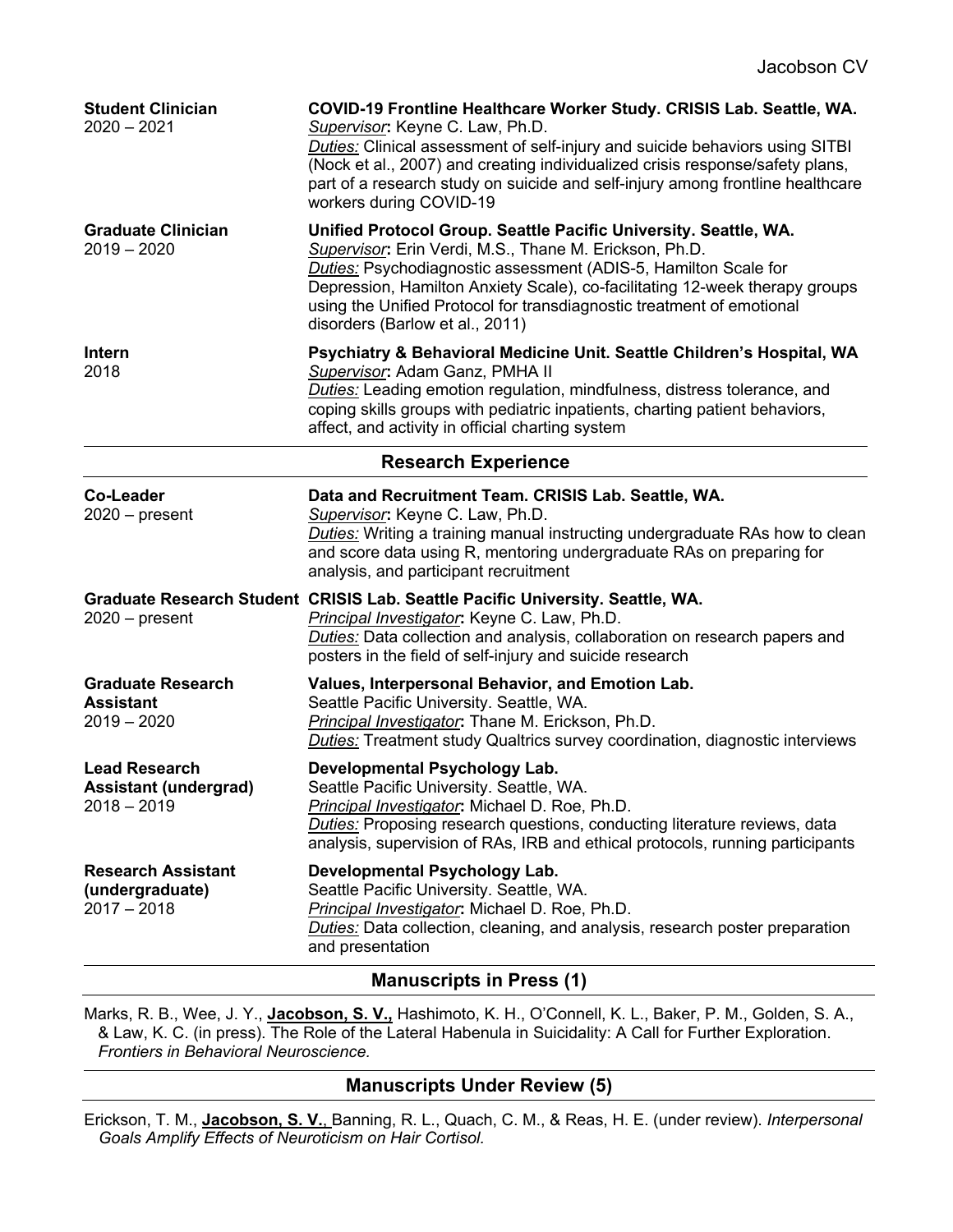| <b>Student Clinician</b><br>$2020 - 2021$                             | COVID-19 Frontline Healthcare Worker Study. CRISIS Lab. Seattle, WA.<br>Supervisor: Keyne C. Law, Ph.D.<br>Duties: Clinical assessment of self-injury and suicide behaviors using SITBI<br>(Nock et al., 2007) and creating individualized crisis response/safety plans,<br>part of a research study on suicide and self-injury among frontline healthcare<br>workers during COVID-19           |  |
|-----------------------------------------------------------------------|-------------------------------------------------------------------------------------------------------------------------------------------------------------------------------------------------------------------------------------------------------------------------------------------------------------------------------------------------------------------------------------------------|--|
| <b>Graduate Clinician</b><br>$2019 - 2020$                            | Unified Protocol Group. Seattle Pacific University. Seattle, WA.<br>Supervisor: Erin Verdi, M.S., Thane M. Erickson, Ph.D.<br><b>Duties:</b> Psychodiagnostic assessment (ADIS-5, Hamilton Scale for<br>Depression, Hamilton Anxiety Scale), co-facilitating 12-week therapy groups<br>using the Unified Protocol for transdiagnostic treatment of emotional<br>disorders (Barlow et al., 2011) |  |
| <b>Intern</b><br>2018                                                 | Psychiatry & Behavioral Medicine Unit. Seattle Children's Hospital, WA<br>Supervisor: Adam Ganz, PMHA II<br>Duties: Leading emotion regulation, mindfulness, distress tolerance, and<br>coping skills groups with pediatric inpatients, charting patient behaviors,<br>affect, and activity in official charting system                                                                         |  |
| <b>Research Experience</b>                                            |                                                                                                                                                                                                                                                                                                                                                                                                 |  |
| <b>Co-Leader</b><br>$2020$ – present                                  | Data and Recruitment Team. CRISIS Lab. Seattle, WA.<br>Supervisor: Keyne C. Law, Ph.D.<br>Duties: Writing a training manual instructing undergraduate RAs how to clean<br>and score data using R, mentoring undergraduate RAs on preparing for<br>analysis, and participant recruitment                                                                                                         |  |
| $2020$ – present                                                      | Graduate Research Student CRISIS Lab. Seattle Pacific University. Seattle, WA.<br>Principal Investigator: Keyne C. Law, Ph.D.<br>Duties: Data collection and analysis, collaboration on research papers and<br>posters in the field of self-injury and suicide research                                                                                                                         |  |
| <b>Graduate Research</b><br><b>Assistant</b><br>$2019 - 2020$         | Values, Interpersonal Behavior, and Emotion Lab.<br>Seattle Pacific University. Seattle, WA.<br>Principal Investigator: Thane M. Erickson, Ph.D.<br><b>Duties:</b> Treatment study Qualtrics survey coordination, diagnostic interviews                                                                                                                                                         |  |
| <b>Lead Research</b><br><b>Assistant (undergrad)</b><br>$2018 - 2019$ | Developmental Psychology Lab.<br>Seattle Pacific University. Seattle, WA.<br>Principal Investigator: Michael D. Roe, Ph.D.<br>Duties: Proposing research questions, conducting literature reviews, data<br>analysis, supervision of RAs, IRB and ethical protocols, running participants                                                                                                        |  |
| <b>Research Assistant</b><br>(undergraduate)<br>$2017 - 2018$         | Developmental Psychology Lab.<br>Seattle Pacific University. Seattle, WA.<br>Principal Investigator: Michael D. Roe, Ph.D.<br><b>Duties:</b> Data collection, cleaning, and analysis, research poster preparation<br>and presentation                                                                                                                                                           |  |

## **Manuscripts in Press (1)**

Marks, R. B., Wee, J. Y., **Jacobson, S. V.,** Hashimoto, K. H., O'Connell, K. L., Baker, P. M., Golden, S. A., & Law, K. C. (in press). The Role of the Lateral Habenula in Suicidality: A Call for Further Exploration. *Frontiers in Behavioral Neuroscience.*

## **Manuscripts Under Review (5)**

Erickson, T. M., **Jacobson, S. V.**, Banning, R. L., Quach, C. M., & Reas, H. E. (under review). *Interpersonal Goals Amplify Effects of Neuroticism on Hair Cortisol.*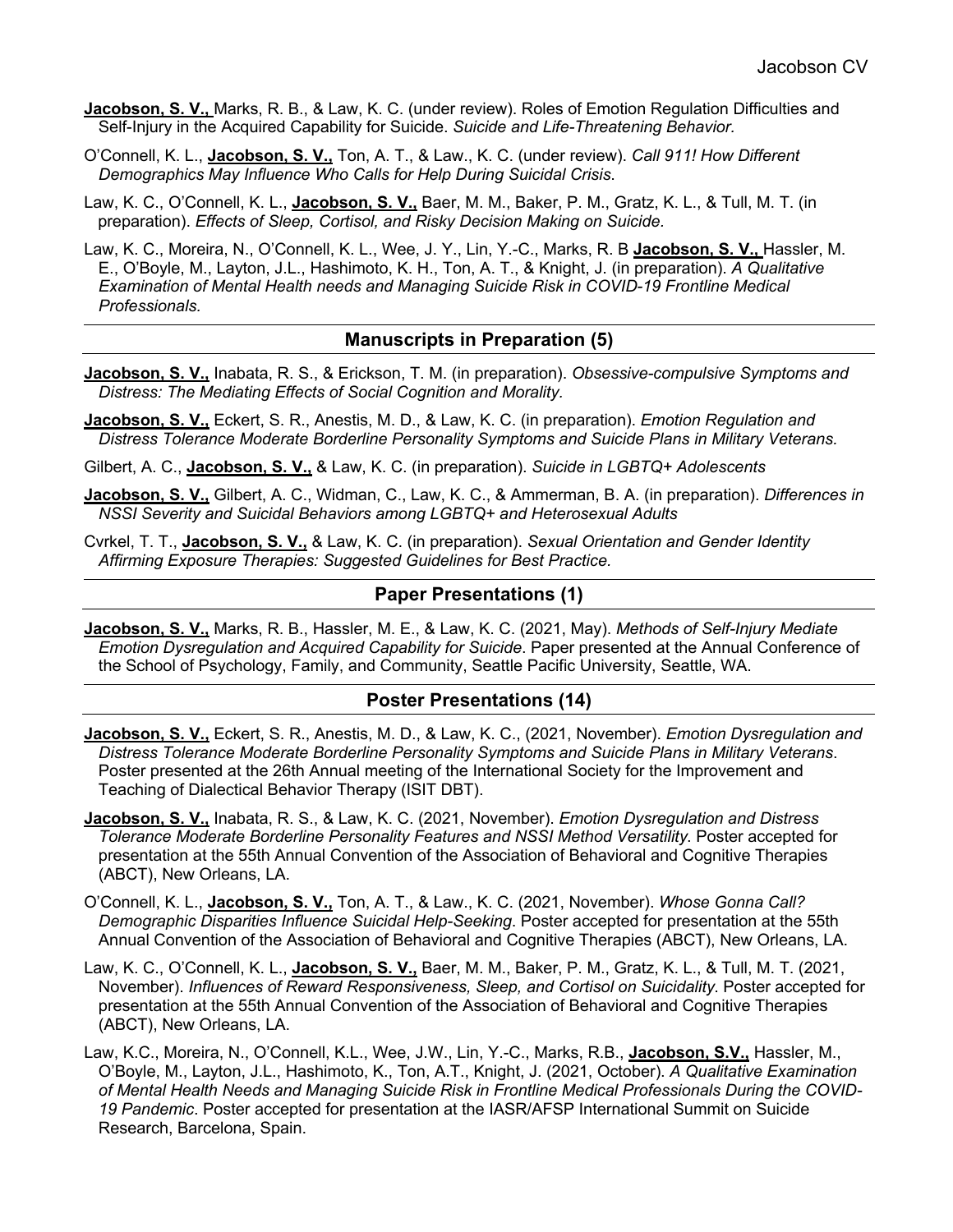- **Jacobson, S. V.,** Marks, R. B., & Law, K. C. (under review). Roles of Emotion Regulation Difficulties and Self-Injury in the Acquired Capability for Suicide. *Suicide and Life-Threatening Behavior.*
- O'Connell, K. L., **Jacobson, S. V.,** Ton, A. T., & Law., K. C. (under review). *Call 911! How Different Demographics May Influence Who Calls for Help During Suicidal Crisis*.
- Law, K. C., O'Connell, K. L., **Jacobson, S. V.,** Baer, M. M., Baker, P. M., Gratz, K. L., & Tull, M. T. (in preparation). *Effects of Sleep, Cortisol, and Risky Decision Making on Suicide.*
- Law, K. C., Moreira, N., O'Connell, K. L., Wee, J. Y., Lin, Y.-C., Marks, R. B **Jacobson, S. V.,** Hassler, M. E., O'Boyle, M., Layton, J.L., Hashimoto, K. H., Ton, A. T., & Knight, J. (in preparation). *A Qualitative Examination of Mental Health needs and Managing Suicide Risk in COVID-19 Frontline Medical Professionals.*

## **Manuscripts in Preparation (5)**

- **Jacobson, S. V.,** Inabata, R. S., & Erickson, T. M. (in preparation). *Obsessive-compulsive Symptoms and Distress: The Mediating Effects of Social Cognition and Morality.*
- **Jacobson, S. V.,** Eckert, S. R., Anestis, M. D., & Law, K. C. (in preparation). *Emotion Regulation and Distress Tolerance Moderate Borderline Personality Symptoms and Suicide Plans in Military Veterans.*
- Gilbert, A. C., **Jacobson, S. V.,** & Law, K. C. (in preparation). *Suicide in LGBTQ+ Adolescents*
- **Jacobson, S. V.,** Gilbert, A. C., Widman, C., Law, K. C., & Ammerman, B. A. (in preparation). *Differences in NSSI Severity and Suicidal Behaviors among LGBTQ+ and Heterosexual Adults*
- Cvrkel, T. T., **Jacobson, S. V.,** & Law, K. C. (in preparation). *Sexual Orientation and Gender Identity Affirming Exposure Therapies: Suggested Guidelines for Best Practice.*

#### **Paper Presentations (1)**

**Jacobson, S. V.,** Marks, R. B., Hassler, M. E., & Law, K. C. (2021, May). *Methods of Self-Injury Mediate Emotion Dysregulation and Acquired Capability for Suicide*. Paper presented at the Annual Conference of the School of Psychology, Family, and Community, Seattle Pacific University, Seattle, WA.

#### **Poster Presentations (14)**

- **Jacobson, S. V.,** Eckert, S. R., Anestis, M. D., & Law, K. C., (2021, November). *Emotion Dysregulation and Distress Tolerance Moderate Borderline Personality Symptoms and Suicide Plans in Military Veterans*. Poster presented at the 26th Annual meeting of the International Society for the Improvement and Teaching of Dialectical Behavior Therapy (ISIT DBT).
- **Jacobson, S. V.,** Inabata, R. S., & Law, K. C. (2021, November). *Emotion Dysregulation and Distress Tolerance Moderate Borderline Personality Features and NSSI Method Versatility*. Poster accepted for presentation at the 55th Annual Convention of the Association of Behavioral and Cognitive Therapies (ABCT), New Orleans, LA.
- O'Connell, K. L., **Jacobson, S. V.,** Ton, A. T., & Law., K. C. (2021, November). *Whose Gonna Call? Demographic Disparities Influence Suicidal Help-Seeking*. Poster accepted for presentation at the 55th Annual Convention of the Association of Behavioral and Cognitive Therapies (ABCT), New Orleans, LA.
- Law, K. C., O'Connell, K. L., **Jacobson, S. V.,** Baer, M. M., Baker, P. M., Gratz, K. L., & Tull, M. T. (2021, November). *Influences of Reward Responsiveness, Sleep, and Cortisol on Suicidality*. Poster accepted for presentation at the 55th Annual Convention of the Association of Behavioral and Cognitive Therapies (ABCT), New Orleans, LA.
- Law, K.C., Moreira, N., O'Connell, K.L., Wee, J.W., Lin, Y.-C., Marks, R.B., **Jacobson, S.V.,** Hassler, M., O'Boyle, M., Layton, J.L., Hashimoto, K., Ton, A.T., Knight, J. (2021, October). *A Qualitative Examination of Mental Health Needs and Managing Suicide Risk in Frontline Medical Professionals During the COVID-19 Pandemic*. Poster accepted for presentation at the IASR/AFSP International Summit on Suicide Research, Barcelona, Spain.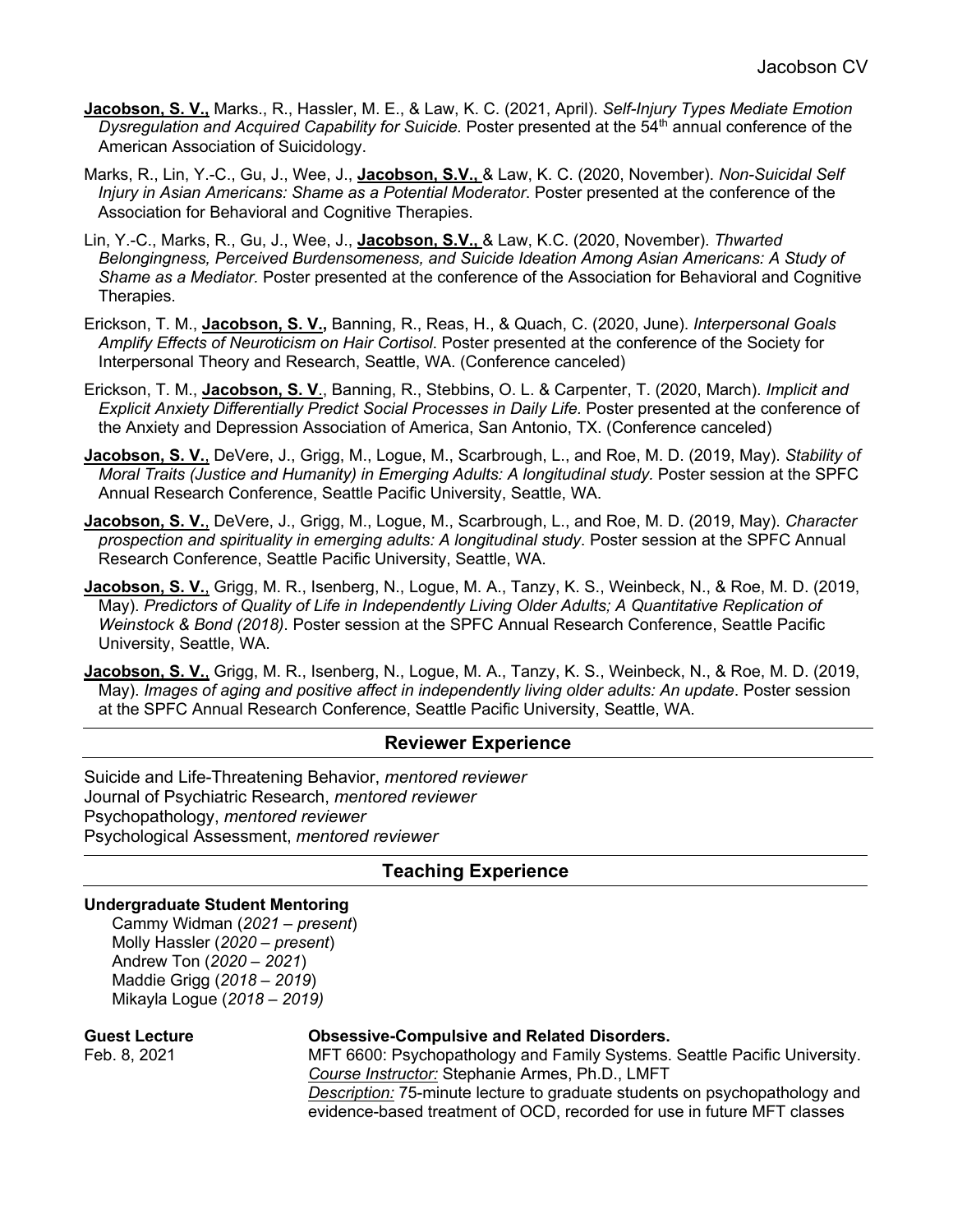- **Jacobson, S. V.,** Marks., R., Hassler, M. E., & Law, K. C. (2021, April). *Self-Injury Types Mediate Emotion Dysregulation and Acquired Capability for Suicide.* Poster presented at the 54<sup>th</sup> annual conference of the American Association of Suicidology.
- Marks, R., Lin, Y.-C., Gu, J., Wee, J., **Jacobson, S.V.,** & Law, K. C. (2020, November). *Non-Suicidal Self Injury in Asian Americans: Shame as a Potential Moderator*. Poster presented at the conference of the Association for Behavioral and Cognitive Therapies.
- Lin, Y.-C., Marks, R., Gu, J., Wee, J., **Jacobson, S.V.,** & Law, K.C. (2020, November). *Thwarted Belongingness, Perceived Burdensomeness, and Suicide Ideation Among Asian Americans: A Study of Shame as a Mediator.* Poster presented at the conference of the Association for Behavioral and Cognitive Therapies.
- Erickson, T. M., **Jacobson, S. V.,** Banning, R., Reas, H., & Quach, C. (2020, June). *Interpersonal Goals Amplify Effects of Neuroticism on Hair Cortisol*. Poster presented at the conference of the Society for Interpersonal Theory and Research, Seattle, WA. (Conference canceled)
- Erickson, T. M., **Jacobson, S. V**., Banning, R., Stebbins, O. L. & Carpenter, T. (2020, March). *Implicit and Explicit Anxiety Differentially Predict Social Processes in Daily Life.* Poster presented at the conference of the Anxiety and Depression Association of America, San Antonio, TX. (Conference canceled)
- **Jacobson, S. V.**, DeVere, J., Grigg, M., Logue, M., Scarbrough, L., and Roe, M. D. (2019, May). *Stability of Moral Traits (Justice and Humanity) in Emerging Adults: A longitudinal study.* Poster session at the SPFC Annual Research Conference, Seattle Pacific University, Seattle, WA.
- **Jacobson, S. V.**, DeVere, J., Grigg, M., Logue, M., Scarbrough, L., and Roe, M. D. (2019, May). *Character prospection and spirituality in emerging adults: A longitudinal study*. Poster session at the SPFC Annual Research Conference, Seattle Pacific University, Seattle, WA.
- **Jacobson, S. V.**, Grigg, M. R., Isenberg, N., Logue, M. A., Tanzy, K. S., Weinbeck, N., & Roe, M. D. (2019, May). *Predictors of Quality of Life in Independently Living Older Adults; A Quantitative Replication of Weinstock & Bond (2018)*. Poster session at the SPFC Annual Research Conference, Seattle Pacific University, Seattle, WA.
- **Jacobson, S. V.**, Grigg, M. R., Isenberg, N., Logue, M. A., Tanzy, K. S., Weinbeck, N., & Roe, M. D. (2019, May). *Images of aging and positive affect in independently living older adults: An update*. Poster session at the SPFC Annual Research Conference, Seattle Pacific University, Seattle, WA.

#### **Reviewer Experience**

Suicide and Life-Threatening Behavior, *mentored reviewer* Journal of Psychiatric Research, *mentored reviewer* Psychopathology, *mentored reviewer* Psychological Assessment, *mentored reviewer*

#### **Teaching Experience**

#### **Undergraduate Student Mentoring**

Cammy Widman (*2021 – present*) Molly Hassler (*2020 – present*) Andrew Ton (*2020 – 2021*) Maddie Grigg (*2018 – 2019*) Mikayla Logue (*2018 – 2019)*

## **Guest Lecture Obsessive-Compulsive and Related Disorders.**

Feb. 8, 2021 MFT 6600: Psychopathology and Family Systems. Seattle Pacific University. *Course Instructor:* Stephanie Armes, Ph.D., LMFT *Description:* 75-minute lecture to graduate students on psychopathology and evidence-based treatment of OCD, recorded for use in future MFT classes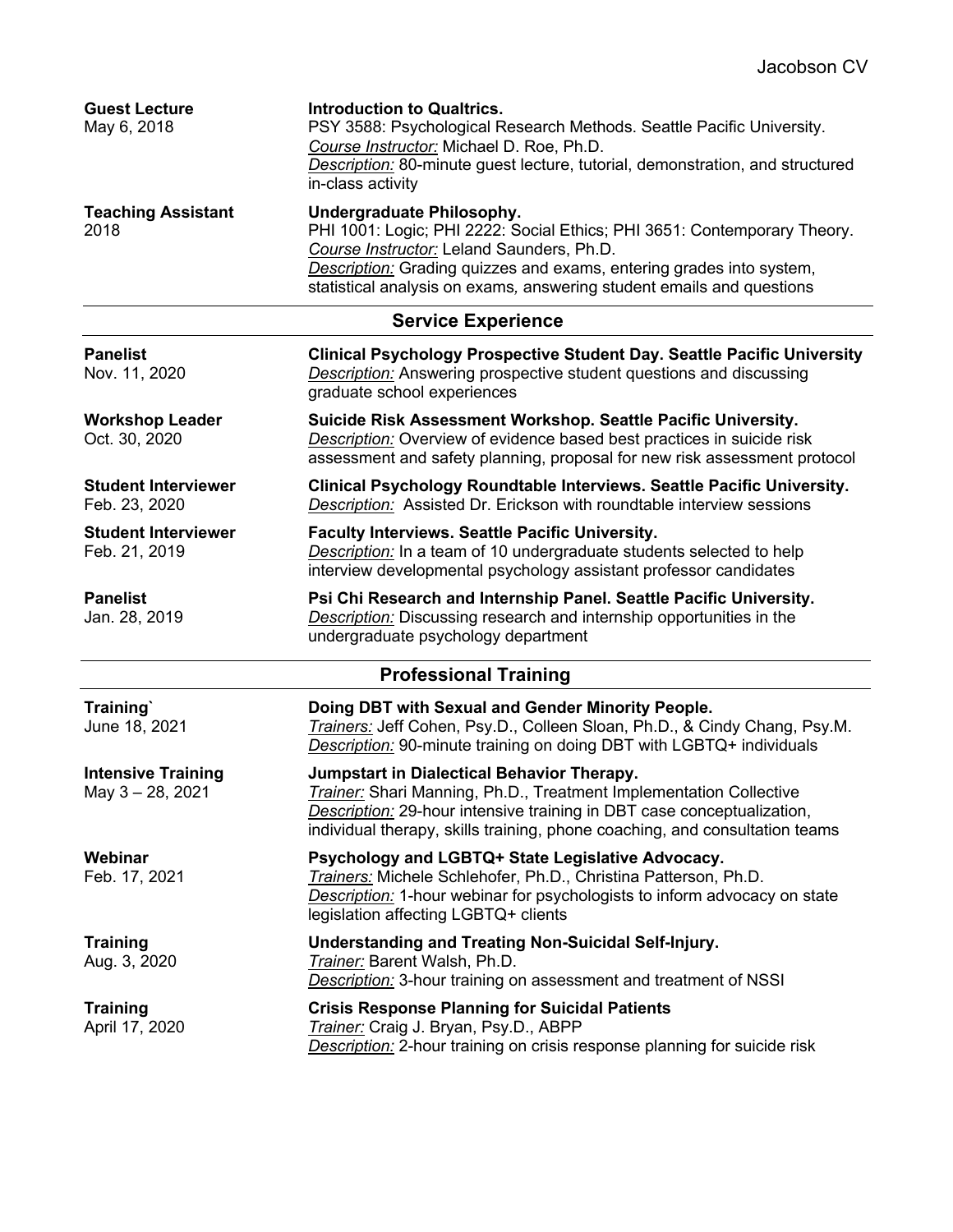| <b>Guest Lecture</b><br>May 6, 2018         | <b>Introduction to Qualtrics.</b><br>PSY 3588: Psychological Research Methods. Seattle Pacific University.<br>Course Instructor: Michael D. Roe, Ph.D.<br>Description: 80-minute guest lecture, tutorial, demonstration, and structured<br>in-class activity                                        |
|---------------------------------------------|-----------------------------------------------------------------------------------------------------------------------------------------------------------------------------------------------------------------------------------------------------------------------------------------------------|
| <b>Teaching Assistant</b><br>2018           | Undergraduate Philosophy.<br>PHI 1001: Logic; PHI 2222: Social Ethics; PHI 3651: Contemporary Theory.<br>Course Instructor: Leland Saunders, Ph.D.<br>Description: Grading quizzes and exams, entering grades into system,<br>statistical analysis on exams, answering student emails and questions |
|                                             | <b>Service Experience</b>                                                                                                                                                                                                                                                                           |
| <b>Panelist</b><br>Nov. 11, 2020            | <b>Clinical Psychology Prospective Student Day. Seattle Pacific University</b><br><b>Description:</b> Answering prospective student questions and discussing<br>graduate school experiences                                                                                                         |
| <b>Workshop Leader</b><br>Oct. 30, 2020     | Suicide Risk Assessment Workshop. Seattle Pacific University.<br>Description: Overview of evidence based best practices in suicide risk<br>assessment and safety planning, proposal for new risk assessment protocol                                                                                |
| <b>Student Interviewer</b><br>Feb. 23, 2020 | Clinical Psychology Roundtable Interviews. Seattle Pacific University.<br>Description: Assisted Dr. Erickson with roundtable interview sessions                                                                                                                                                     |
| <b>Student Interviewer</b><br>Feb. 21, 2019 | <b>Faculty Interviews. Seattle Pacific University.</b><br>Description: In a team of 10 undergraduate students selected to help<br>interview developmental psychology assistant professor candidates                                                                                                 |
| <b>Panelist</b><br>Jan. 28, 2019            | Psi Chi Research and Internship Panel. Seattle Pacific University.<br>Description: Discussing research and internship opportunities in the<br>undergraduate psychology department                                                                                                                   |
|                                             | <b>Professional Training</b>                                                                                                                                                                                                                                                                        |
| Training<br>June 18, 2021                   | Doing DBT with Sexual and Gender Minority People.<br>Trainers: Jeff Cohen, Psy.D., Colleen Sloan, Ph.D., & Cindy Chang, Psy.M.<br>Description: 90-minute training on doing DBT with LGBTQ+ individuals                                                                                              |
| <b>Intensive Training</b><br>May 3-28, 2021 | Jumpstart in Dialectical Behavior Therapy.<br><b>Trainer:</b> Shari Manning, Ph.D., Treatment Implementation Collective<br>Description: 29-hour intensive training in DBT case conceptualization,<br>individual therapy, skills training, phone coaching, and consultation teams                    |
| Webinar<br>Feb. 17, 2021                    | Psychology and LGBTQ+ State Legislative Advocacy.<br>Trainers: Michele Schlehofer, Ph.D., Christina Patterson, Ph.D.<br>Description: 1-hour webinar for psychologists to inform advocacy on state<br>legislation affecting LGBTQ+ clients                                                           |
| <b>Training</b><br>Aug. 3, 2020             | <b>Understanding and Treating Non-Suicidal Self-Injury.</b><br>Trainer: Barent Walsh, Ph.D.<br><b>Description:</b> 3-hour training on assessment and treatment of NSSI                                                                                                                              |
| <b>Training</b><br>April 17, 2020           | <b>Crisis Response Planning for Suicidal Patients</b><br>Trainer: Craig J. Bryan, Psy.D., ABPP<br>Description: 2-hour training on crisis response planning for suicide risk                                                                                                                         |